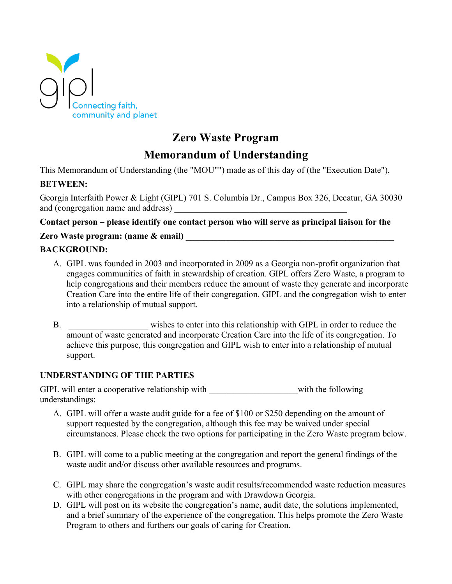

# **Zero Waste Program**

## **Memorandum of Understanding**

This Memorandum of Understanding (the "MOU"") made as of this day of (the "Execution Date"),

#### **BETWEEN:**

Georgia Interfaith Power & Light (GIPL) 701 S. Columbia Dr., Campus Box 326, Decatur, GA 30030 and (congregation name and address)

#### **Contact person – please identify one contact person who will serve as principal liaison for the**

#### **Zero Waste program: (name & email) \_\_\_\_\_\_\_\_\_\_\_\_\_\_\_\_\_\_\_\_\_\_\_\_\_\_\_\_\_\_\_\_\_\_\_\_\_\_\_\_\_\_\_\_\_\_\_**

#### **BACKGROUND:**

- A. GIPL was founded in 2003 and incorporated in 2009 as a Georgia non-profit organization that engages communities of faith in stewardship of creation. GIPL offers Zero Waste, a program to help congregations and their members reduce the amount of waste they generate and incorporate Creation Care into the entire life of their congregation. GIPL and the congregation wish to enter into a relationship of mutual support.
- B. wishes to enter into this relationship with GIPL in order to reduce the amount of waste generated and incorporate Creation Care into the life of its congregation. To achieve this purpose, this congregation and GIPL wish to enter into a relationship of mutual support.

#### **UNDERSTANDING OF THE PARTIES**

GIPL will enter a cooperative relationship with \_\_\_\_\_\_\_\_\_\_\_\_\_\_\_\_\_\_with the following understandings:

- A. GIPL will offer a waste audit guide for a fee of \$100 or \$250 depending on the amount of support requested by the congregation, although this fee may be waived under special circumstances. Please check the two options for participating in the Zero Waste program below.
- B. GIPL will come to a public meeting at the congregation and report the general findings of the waste audit and/or discuss other available resources and programs.
- C. GIPL may share the congregation's waste audit results/recommended waste reduction measures with other congregations in the program and with Drawdown Georgia.
- D. GIPL will post on its website the congregation's name, audit date, the solutions implemented, and a brief summary of the experience of the congregation. This helps promote the Zero Waste Program to others and furthers our goals of caring for Creation.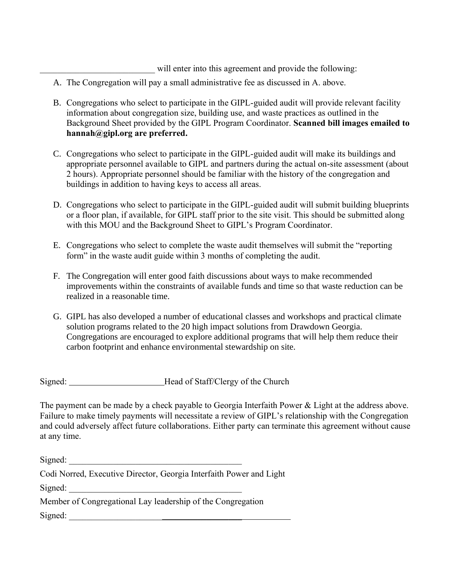will enter into this agreement and provide the following:

- A. The Congregation will pay a small administrative fee as discussed in A. above.
- B. Congregations who select to participate in the GIPL-guided audit will provide relevant facility information about congregation size, building use, and waste practices as outlined in the Background Sheet provided by the GIPL Program Coordinator. **Scanned bill images emailed to hannah@gipl.org are preferred.**
- C. Congregations who select to participate in the GIPL-guided audit will make its buildings and appropriate personnel available to GIPL and partners during the actual on-site assessment (about 2 hours). Appropriate personnel should be familiar with the history of the congregation and buildings in addition to having keys to access all areas.
- D. Congregations who select to participate in the GIPL-guided audit will submit building blueprints or a floor plan, if available, for GIPL staff prior to the site visit. This should be submitted along with this MOU and the Background Sheet to GIPL's Program Coordinator.
- E. Congregations who select to complete the waste audit themselves will submit the "reporting form" in the waste audit guide within 3 months of completing the audit.
- F. The Congregation will enter good faith discussions about ways to make recommended improvements within the constraints of available funds and time so that waste reduction can be realized in a reasonable time.
- G. GIPL has also developed a number of educational classes and workshops and practical climate solution programs related to the 20 high impact solutions from Drawdown Georgia. Congregations are encouraged to explore additional programs that will help them reduce their carbon footprint and enhance environmental stewardship on site.

Signed: Head of Staff/Clergy of the Church

The payment can be made by a check payable to Georgia Interfaith Power & Light at the address above. Failure to make timely payments will necessitate a review of GIPL's relationship with the Congregation and could adversely affect future collaborations. Either party can terminate this agreement without cause at any time.

| Signed:                                                             |
|---------------------------------------------------------------------|
| Codi Norred, Executive Director, Georgia Interfaith Power and Light |
| Signed:                                                             |
| Member of Congregational Lay leadership of the Congregation         |
| Signed:                                                             |